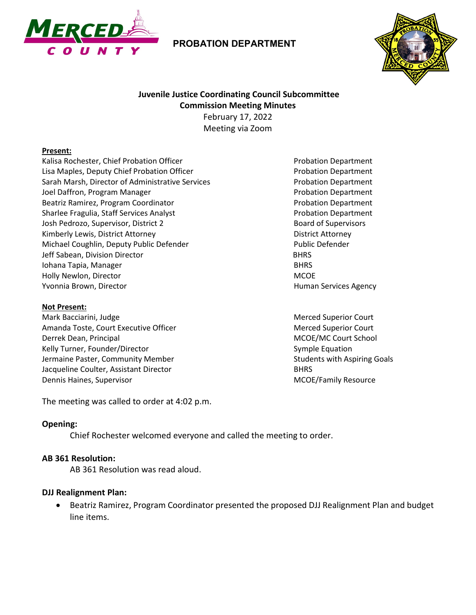

## **PROBATION DEPARTMENT**



# **Juvenile Justice Coordinating Council Subcommittee Commission Meeting Minutes**

February 17, 2022 Meeting via Zoom

#### **Present:**

Kalisa Rochester, Chief Probation Officer Probation Department Lisa Maples, Deputy Chief Probation Officer **Probation Department** Sarah Marsh, Director of Administrative Services extendion of Probation Department Joel Daffron, Program Manager **Probation Department** Probation Department Beatriz Ramirez, Program Coordinator **Probation Department** Probation Department Sharlee Fragulia, Staff Services Analyst **Probation Department** Probation Department Josh Pedrozo, Supervisor, District 2 and Supervisors and Supervisors and Supervisors and Supervisors and Supervisors Kimberly Lewis, District Attorney **District Attorney** District Attorney Michael Coughlin, Deputy Public Defender Public Defender Public Defender Jeff Sabean, Division Director BHRS Iohana Tapia, Manager BHRS Holly Newlon, Director MCOE Yvonnia Brown, Director **Human Services Agency** Human Services Agency

#### **Not Present:**

Mark Bacciarini, Judge Merced Superior Court Amanda Toste, Court Executive Officer Merced Superior Court Merced Superior Court Derrek Dean, Principal MCOE/MC Court School Kelly Turner, Founder/Director Symple Equation Symple Equation Jermaine Paster, Community Member Students with Aspiring Goals Jacqueline Coulter, Assistant Director **BHRS** BHRS Dennis Haines, Supervisor MCOE/Family Resource

The meeting was called to order at 4:02 p.m.

### **Opening:**

Chief Rochester welcomed everyone and called the meeting to order.

#### **AB 361 Resolution:**

AB 361 Resolution was read aloud.

### **DJJ Realignment Plan:**

• Beatriz Ramirez, Program Coordinator presented the proposed DJJ Realignment Plan and budget line items.